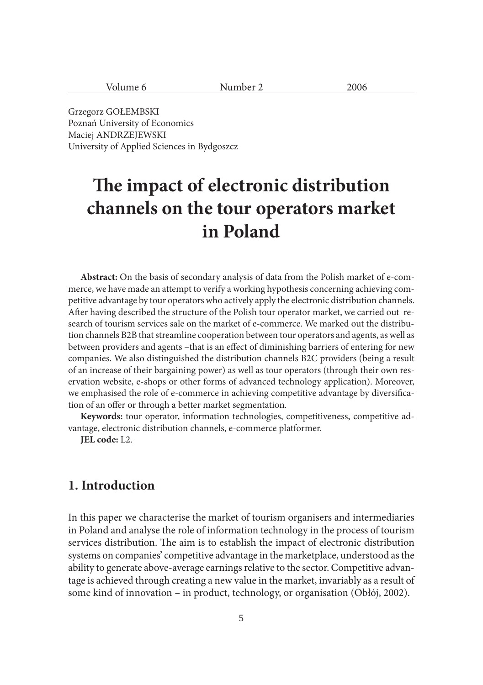| $\sim$<br>$\cdots$<br>ັ້<br><b>.</b> | 100<<br>ovv |
|--------------------------------------|-------------|
|                                      |             |

Grzegorz GOŁEMBSKI Poznań University of Economics Maciej ANDRZEJEWSKI University of Applied Sciences in Bydgoszcz

# **The impact of electronic distribution channels on the tour operators market in Poland**

**Abstract:** On the basis of secondary analysis of data from the Polish market of e-commerce, we have made an attempt to verify a working hypothesis concerning achieving competitive advantage by tour operators who actively apply the electronic distribution channels. After having described the structure of the Polish tour operator market, we carried out research of tourism services sale on the market of e-commerce. We marked out the distribution channels B2B that streamline cooperation between tour operators and agents, as well as between providers and agents –that is an effect of diminishing barriers of entering for new companies. We also distinguished the distribution channels B2C providers (being a result of an increase of their bargaining power) as well as tour operators (through their own reservation website, e-shops or other forms of advanced technology application). Moreover, we emphasised the role of e-commerce in achieving competitive advantage by diversification of an offer or through a better market segmentation.

**Keywords:** tour operator, information technologies, competitiveness, competitive advantage, electronic distribution channels, e-commerce platformer.

**JEL code:** L2.

### **1. Introduction**

In this paper we characterise the market of tourism organisers and intermediaries in Poland and analyse the role of information technology in the process of tourism services distribution. The aim is to establish the impact of electronic distribution systems on companies' competitive advantage in the marketplace, understood as the ability to generate above-average earnings relative to the sector. Competitive advantage is achieved through creating a new value in the market, invariably as a result of some kind of innovation – in product, technology, or organisation (Obłój, 2002).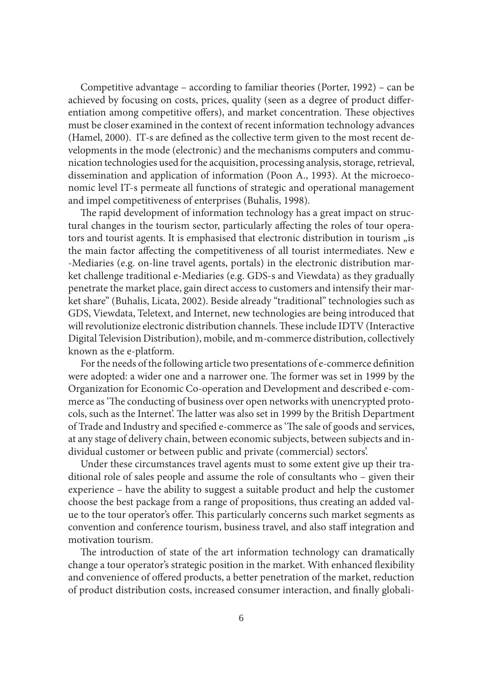Competitive advantage – according to familiar theories (Porter, 1992) – can be achieved by focusing on costs, prices, quality (seen as a degree of product differentiation among competitive offers), and market concentration. These objectives must be closer examined in the context of recent information technology advances (Hamel, 2000). IT-s are defined as the collective term given to the most recent developments in the mode (electronic) and the mechanisms computers and communication technologies used for the acquisition, processing analysis, storage, retrieval, dissemination and application of information (Poon A., 1993). At the microeconomic level IT-s permeate all functions of strategic and operational management and impel competitiveness of enterprises (Buhalis, 1998).

The rapid development of information technology has a great impact on structural changes in the tourism sector, particularly affecting the roles of tour operators and tourist agents. It is emphasised that electronic distribution in tourism "is the main factor affecting the competitiveness of all tourist intermediates. New e -Mediaries (e.g. on-line travel agents, portals) in the electronic distribution market challenge traditional e-Mediaries (e.g. GDS-s and Viewdata) as they gradually penetrate the market place, gain direct access to customers and intensify their market share" (Buhalis, Licata, 2002). Beside already "traditional" technologies such as GDS, Viewdata, Teletext, and Internet, new technologies are being introduced that will revolutionize electronic distribution channels. These include IDTV (Interactive Digital Television Distribution), mobile, and m-commerce distribution, collectively known as the e-platform.

For the needs of the following article two presentations of e-commerce definition were adopted: a wider one and a narrower one. The former was set in 1999 by the Organization for Economic Co-operation and Development and described e-commerce as 'The conducting of business over open networks with unencrypted protocols, such as the Internet'. The latter was also set in 1999 by the British Department of Trade and Industry and specified e-commerce as 'The sale of goods and services, at any stage of delivery chain, between economic subjects, between subjects and individual customer or between public and private (commercial) sectors'.

Under these circumstances travel agents must to some extent give up their traditional role of sales people and assume the role of consultants who – given their experience – have the ability to suggest a suitable product and help the customer choose the best package from a range of propositions, thus creating an added value to the tour operator's offer. This particularly concerns such market segments as convention and conference tourism, business travel, and also staff integration and motivation tourism.

The introduction of state of the art information technology can dramatically change a tour operator's strategic position in the market. With enhanced flexibility and convenience of offered products, a better penetration of the market, reduction of product distribution costs, increased consumer interaction, and finally globali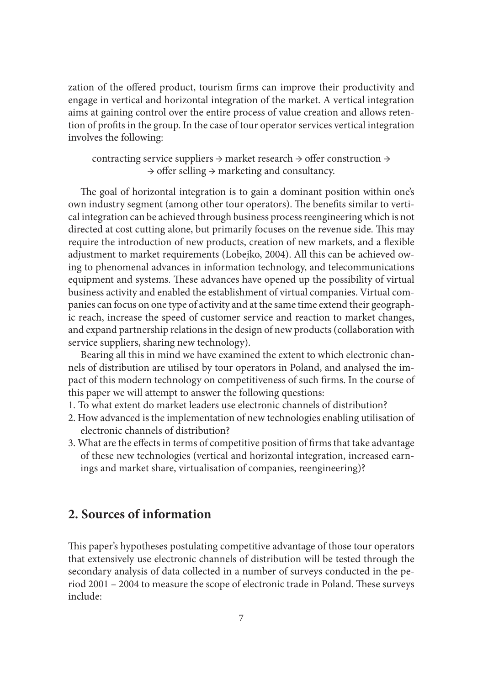zation of the offered product, tourism firms can improve their productivity and engage in vertical and horizontal integration of the market. A vertical integration aims at gaining control over the entire process of value creation and allows retention of profits in the group. In the case of tour operator services vertical integration involves the following:

contracting service suppliers  $\rightarrow$  market research  $\rightarrow$  offer construction  $\rightarrow$  $\rightarrow$  offer selling  $\rightarrow$  marketing and consultancy.

The goal of horizontal integration is to gain a dominant position within one's own industry segment (among other tour operators). The benefits similar to vertical integration can be achieved through business process reengineering which is not directed at cost cutting alone, but primarily focuses on the revenue side. This may require the introduction of new products, creation of new markets, and a flexible adjustment to market requirements (Lobejko, 2004). All this can be achieved owing to phenomenal advances in information technology, and telecommunications equipment and systems. These advances have opened up the possibility of virtual business activity and enabled the establishment of virtual companies. Virtual companies can focus on one type of activity and at the same time extend their geographic reach, increase the speed of customer service and reaction to market changes, and expand partnership relations in the design of new products (collaboration with service suppliers, sharing new technology).

Bearing all this in mind we have examined the extent to which electronic channels of distribution are utilised by tour operators in Poland, and analysed the impact of this modern technology on competitiveness of such firms. In the course of this paper we will attempt to answer the following questions:

- 1. To what extent do market leaders use electronic channels of distribution?
- 2. How advanced is the implementation of new technologies enabling utilisation of electronic channels of distribution?
- 3. What are the effects in terms of competitive position of firms that take advantage of these new technologies (vertical and horizontal integration, increased earnings and market share, virtualisation of companies, reengineering)?

#### **2. Sources of information**

This paper's hypotheses postulating competitive advantage of those tour operators that extensively use electronic channels of distribution will be tested through the secondary analysis of data collected in a number of surveys conducted in the period  $2001 - 2004$  to measure the scope of electronic trade in Poland. These surveys include: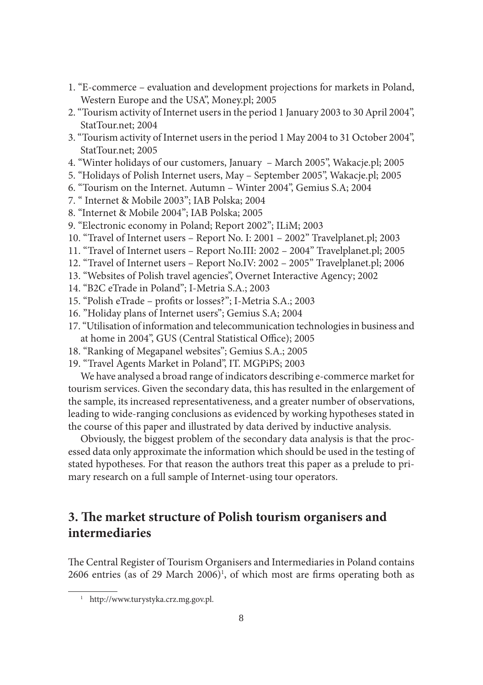- 1. "E-commerce evaluation and development projections for markets in Poland, Western Europe and the USA", Money.pl; 2005
- 2. "Tourism activity of Internet users in the period 1 January 2003 to 30 April 2004", StatTour.net; 2004
- 3. "Tourism activity of Internet users in the period 1 May 2004 to 31 October 2004", StatTour.net; 2005
- 4. "Winter holidays of our customers, January March 2005", Wakacje.pl; 2005
- 5. "Holidays of Polish Internet users, May September 2005", Wakacje.pl; 2005
- 6. "Tourism on the Internet. Autumn Winter 2004", Gemius S.A; 2004
- 7. " Internet & Mobile 2003"; IAB Polska; 2004
- 8. "Internet & Mobile 2004"; IAB Polska; 2005
- 9. "Electronic economy in Poland; Report 2002"; ILiM; 2003
- 10. "Travel of Internet users Report No. I: 2001 2002" Travelplanet.pl; 2003
- 11. "Travel of Internet users Report No.III: 2002 2004" Travelplanet.pl; 2005
- 12. "Travel of Internet users Report No.IV: 2002 2005" Travelplanet.pl; 2006
- 13. "Websites of Polish travel agencies", Overnet Interactive Agency; 2002
- 14. "B2C eTrade in Poland"; I-Metria S.A.; 2003
- 15. "Polish eTrade profits or losses?"; I-Metria S.A.; 2003
- 16. "Holiday plans of Internet users"; Gemius S.A; 2004
- 17. "Utilisation of information and telecommunication technologies in business and at home in 2004", GUS (Central Statistical Office); 2005
- 18. "Ranking of Megapanel websites"; Gemius S.A.; 2005
- 19. "Travel Agents Market in Poland", IT. MGPiPS; 2003

We have analysed a broad range of indicators describing e-commerce market for tourism services. Given the secondary data, this has resulted in the enlargement of the sample, its increased representativeness, and a greater number of observations, leading to wide-ranging conclusions as evidenced by working hypotheses stated in the course of this paper and illustrated by data derived by inductive analysis.

Obviously, the biggest problem of the secondary data analysis is that the processed data only approximate the information which should be used in the testing of stated hypotheses. For that reason the authors treat this paper as a prelude to primary research on a full sample of Internet-using tour operators.

# **3. The market structure of Polish tourism organisers and intermediaries**

The Central Register of Tourism Organisers and Intermediaries in Poland contains 2606 entries (as of 29 March 2006)<sup>1</sup>, of which most are firms operating both as

<sup>1</sup> http://www.turystyka.crz.mg.gov.pl.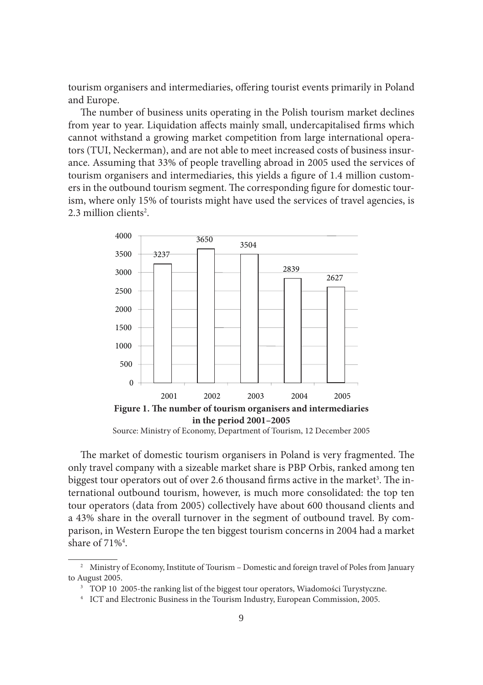tourism organisers and intermediaries, offering tourist events primarily in Poland and Europe.

The number of business units operating in the Polish tourism market declines from year to year. Liquidation affects mainly small, undercapitalised firms which cannot withstand a growing market competition from large international operators (TUI, Neckerman), and are not able to meet increased costs of business insurance. Assuming that 33% of people travelling abroad in 2005 used the services of tourism organisers and intermediaries, this yields a figure of 1.4 million customers in the outbound tourism segment. The corresponding figure for domestic tourism, where only 15% of tourists might have used the services of travel agencies, is 2.3 million clients<sup>2</sup>.



Source: Ministry of Economy, Department of Tourism, 12 December 2005

The market of domestic tourism organisers in Poland is very fragmented. The only travel company with a sizeable market share is PBP Orbis, ranked among ten biggest tour operators out of over 2.6 thousand firms active in the market<sup>3</sup>. The international outbound tourism, however, is much more consolidated: the top ten tour operators (data from 2005) collectively have about 600 thousand clients and a 43% share in the overall turnover in the segment of outbound travel. By comparison, in Western Europe the ten biggest tourism concerns in 2004 had a market share of  $71\%$ <sup>4</sup>.

<sup>&</sup>lt;sup>2</sup> Ministry of Economy, Institute of Tourism – Domestic and foreign travel of Poles from January to August 2005.

<sup>3</sup> TOP 10 2005-the ranking list of the biggest tour operators, Wiadomości Turystyczne. 4 ICT and Electronic Business in the Tourism Industry, European Commission, 2005.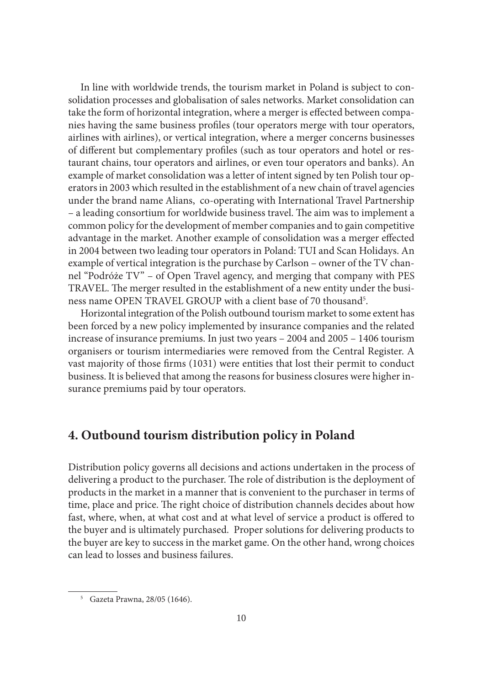In line with worldwide trends, the tourism market in Poland is subject to consolidation processes and globalisation of sales networks. Market consolidation can take the form of horizontal integration, where a merger is effected between companies having the same business profiles (tour operators merge with tour operators, airlines with airlines), or vertical integration, where a merger concerns businesses of different but complementary profiles (such as tour operators and hotel or restaurant chains, tour operators and airlines, or even tour operators and banks). An example of market consolidation was a letter of intent signed by ten Polish tour operators in 2003 which resulted in the establishment of a new chain of travel agencies under the brand name Alians, co-operating with International Travel Partnership – a leading consortium for worldwide business travel. The aim was to implement a common policy for the development of member companies and to gain competitive advantage in the market. Another example of consolidation was a merger effected in 2004 between two leading tour operators in Poland: TUI and Scan Holidays. An example of vertical integration is the purchase by Carlson – owner of the TV channel "Podróże TV" – of Open Travel agency, and merging that company with PES TRAVEL. The merger resulted in the establishment of a new entity under the business name OPEN TRAVEL GROUP with a client base of 70 thousand<sup>5</sup>.

Horizontal integration of the Polish outbound tourism market to some extent has been forced by a new policy implemented by insurance companies and the related increase of insurance premiums. In just two years – 2004 and 2005 – 1406 tourism organisers or tourism intermediaries were removed from the Central Register. A vast majority of those firms (1031) were entities that lost their permit to conduct business. It is believed that among the reasons for business closures were higher insurance premiums paid by tour operators.

# **4. Outbound tourism distribution policy in Poland**

Distribution policy governs all decisions and actions undertaken in the process of delivering a product to the purchaser. The role of distribution is the deployment of products in the market in a manner that is convenient to the purchaser in terms of time, place and price. The right choice of distribution channels decides about how fast, where, when, at what cost and at what level of service a product is offered to the buyer and is ultimately purchased. Proper solutions for delivering products to the buyer are key to success in the market game. On the other hand, wrong choices can lead to losses and business failures.

<sup>5</sup> Gazeta Prawna, 28/05 (1646).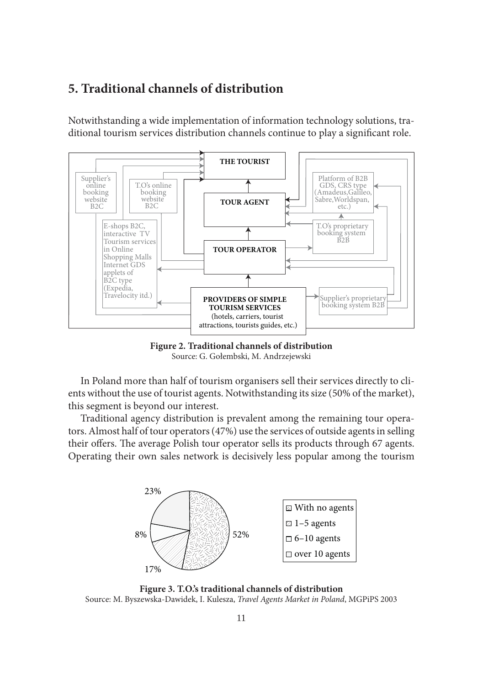### **5. Traditional channels of distribution**

Notwithstanding a wide implementation of information technology solutions, traditional tourism services distribution channels continue to play a significant role.



**Figure 2. Traditional channels of distribution**  Source: G. Gołembski, M. Andrzejewski

In Poland more than half of tourism organisers sell their services directly to clients without the use of tourist agents. Notwithstanding its size (50% of the market), this segment is beyond our interest.

Traditional agency distribution is prevalent among the remaining tour operators. Almost half of tour operators (47%) use the services of outside agents in selling their offers. The average Polish tour operator sells its products through 67 agents. Operating their own sales network is decisively less popular among the tourism



**Figure 3. T.O.'s traditional channels of distribution** Source: M. Byszewska-Dawidek, I. Kulesza, *Travel Agents Market in Poland*, MGPiPS 2003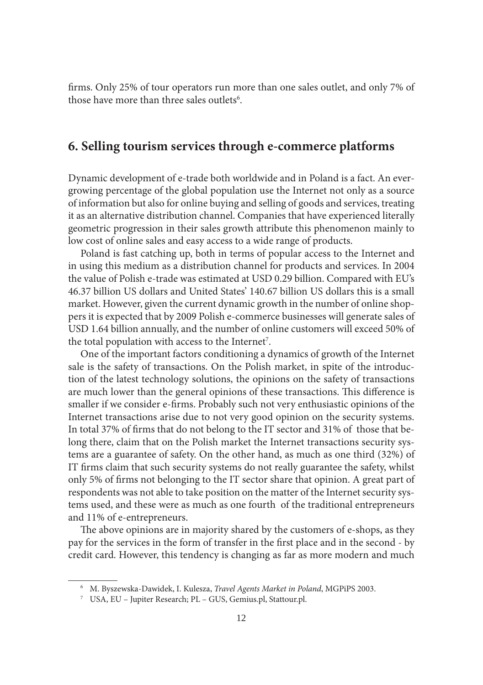firms. Only 25% of tour operators run more than one sales outlet, and only 7% of those have more than three sales outlets<sup>6</sup>.

#### **6. Selling tourism services through e-commerce platforms**

Dynamic development of e-trade both worldwide and in Poland is a fact. An evergrowing percentage of the global population use the Internet not only as a source of information but also for online buying and selling of goods and services, treating it as an alternative distribution channel. Companies that have experienced literally geometric progression in their sales growth attribute this phenomenon mainly to low cost of online sales and easy access to a wide range of products.

Poland is fast catching up, both in terms of popular access to the Internet and in using this medium as a distribution channel for products and services. In 2004 the value of Polish e-trade was estimated at USD 0.29 billion. Compared with EU's 46.37 billion US dollars and United States' 140.67 billion US dollars this is a small market. However, given the current dynamic growth in the number of online shoppers it is expected that by 2009 Polish e-commerce businesses will generate sales of USD 1.64 billion annually, and the number of online customers will exceed 50% of the total population with access to the Internet<sup>7</sup>.

One of the important factors conditioning a dynamics of growth of the Internet sale is the safety of transactions. On the Polish market, in spite of the introduction of the latest technology solutions, the opinions on the safety of transactions are much lower than the general opinions of these transactions. This difference is smaller if we consider e-firms. Probably such not very enthusiastic opinions of the Internet transactions arise due to not very good opinion on the security systems. In total 37% of firms that do not belong to the IT sector and 31% of those that belong there, claim that on the Polish market the Internet transactions security systems are a guarantee of safety. On the other hand, as much as one third (32%) of IT firms claim that such security systems do not really guarantee the safety, whilst only 5% of firms not belonging to the IT sector share that opinion. A great part of respondents was not able to take position on the matter of the Internet security systems used, and these were as much as one fourth of the traditional entrepreneurs and 11% of e-entrepreneurs.

The above opinions are in majority shared by the customers of e-shops, as they pay for the services in the form of transfer in the first place and in the second - by credit card. However, this tendency is changing as far as more modern and much

<sup>6</sup> M. Byszewska-Dawidek, I. Kulesza, *Travel Agents Market in Poland*, MGPiPS 2003.

<sup>7</sup> USA, EU – Jupiter Research; PL – GUS, Gemius.pl, Stattour.pl.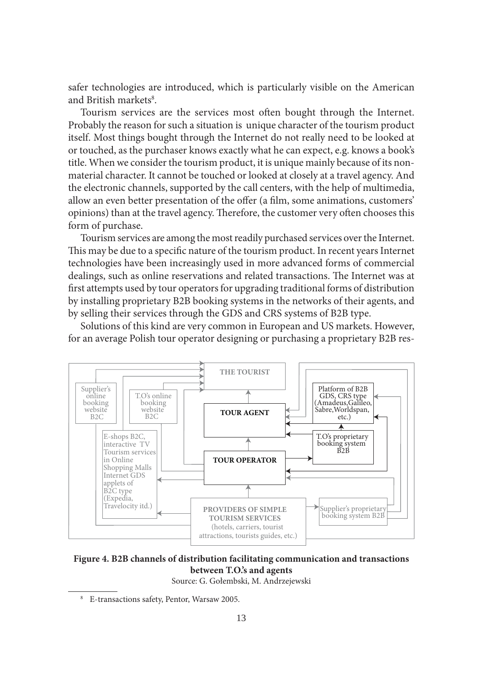safer technologies are introduced, which is particularly visible on the American and British markets<sup>8</sup>.

Tourism services are the services most often bought through the Internet. Probably the reason for such a situation is unique character of the tourism product itself. Most things bought through the Internet do not really need to be looked at or touched, as the purchaser knows exactly what he can expect, e.g. knows a book's title. When we consider the tourism product, it is unique mainly because of its nonmaterial character. It cannot be touched or looked at closely at a travel agency. And the electronic channels, supported by the call centers, with the help of multimedia, allow an even better presentation of the offer (a film, some animations, customers' opinions) than at the travel agency. Therefore, the customer very often chooses this form of purchase.

Tourism services are among the most readily purchased services over the Internet. This may be due to a specific nature of the tourism product. In recent years Internet technologies have been increasingly used in more advanced forms of commercial dealings, such as online reservations and related transactions. The Internet was at first attempts used by tour operators for upgrading traditional forms of distribution by installing proprietary B2B booking systems in the networks of their agents, and by selling their services through the GDS and CRS systems of B2B type.

Solutions of this kind are very common in European and US markets. However, for an average Polish tour operator designing or purchasing a proprietary B2B res-



**Figure 4. B2B channels of distribution facilitating communication and transactions between T.O.'s and agents** 

Source: G. Gołembski, M. Andrzejewski

<sup>8</sup> E-transactions safety, Pentor, Warsaw 2005.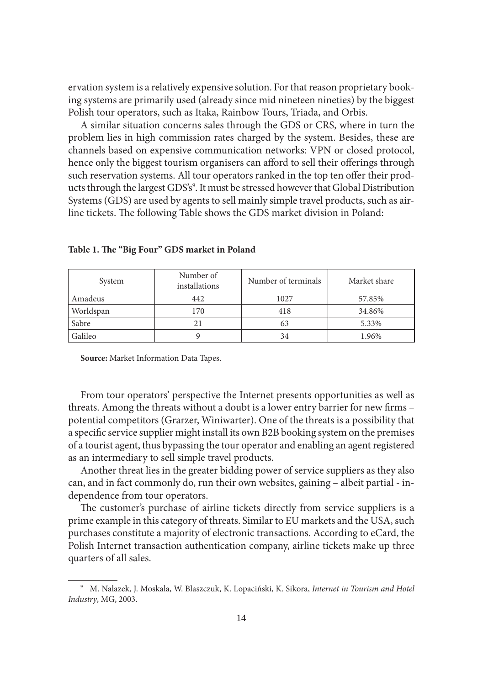ervation system is a relatively expensive solution. For that reason proprietary booking systems are primarily used (already since mid nineteen nineties) by the biggest Polish tour operators, such as Itaka, Rainbow Tours, Triada, and Orbis.

A similar situation concerns sales through the GDS or CRS, where in turn the problem lies in high commission rates charged by the system. Besides, these are channels based on expensive communication networks: VPN or closed protocol, hence only the biggest tourism organisers can afford to sell their offerings through such reservation systems. All tour operators ranked in the top ten offer their products through the largest GDS's<sup>9</sup>. It must be stressed however that Global Distribution Systems (GDS) are used by agents to sell mainly simple travel products, such as airline tickets. The following Table shows the GDS market division in Poland:

| System    | Number of<br>installations | Number of terminals | Market share |  |
|-----------|----------------------------|---------------------|--------------|--|
| Amadeus   | 442                        | 1027                | 57.85%       |  |
| Worldspan | 170                        | 418                 | 34.86%       |  |
| Sabre     | 21                         | 63                  | 5.33%        |  |
| Galileo   |                            | 34                  | 1.96%        |  |

Table 1. The "Big Four" GDS market in Poland

**Source:** Market Information Data Tapes.

From tour operators' perspective the Internet presents opportunities as well as threats. Among the threats without a doubt is a lower entry barrier for new firms potential competitors (Grarzer, Winiwarter). One of the threats is a possibility that a specific service supplier might install its own B2B booking system on the premises of a tourist agent, thus bypassing the tour operator and enabling an agent registered as an intermediary to sell simple travel products.

Another threat lies in the greater bidding power of service suppliers as they also can, and in fact commonly do, run their own websites, gaining – albeit partial - independence from tour operators.

The customer's purchase of airline tickets directly from service suppliers is a prime example in this category of threats. Similar to EU markets and the USA, such purchases constitute a majority of electronic transactions. According to eCard, the Polish Internet transaction authentication company, airline tickets make up three quarters of all sales.

<sup>9</sup> M. Nalazek, J. Moskala, W. Blaszczuk, K. Lopaciński, K. Sikora, *Internet in Tourism and Hotel Industry*, MG, 2003.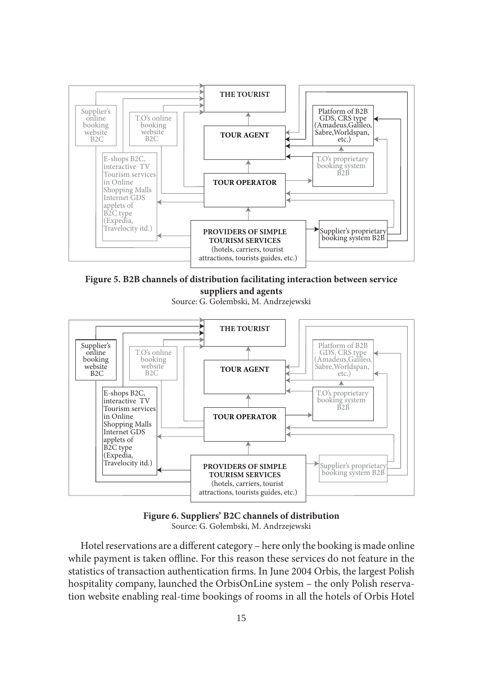

**Figure 5. B2B channels of distribution facilitating interaction between service suppliers and agents**

Source: G. Gołembski, M. Andrzejewski





Hotel reservations are a different category – here only the booking is made online while payment is taken offline. For this reason these services do not feature in the statistics of transaction authentication firms. In June 2004 Orbis, the largest Polish hospitality company, launched the OrbisOnLine system – the only Polish reservation website enabling real-time bookings of rooms in all the hotels of Orbis Hotel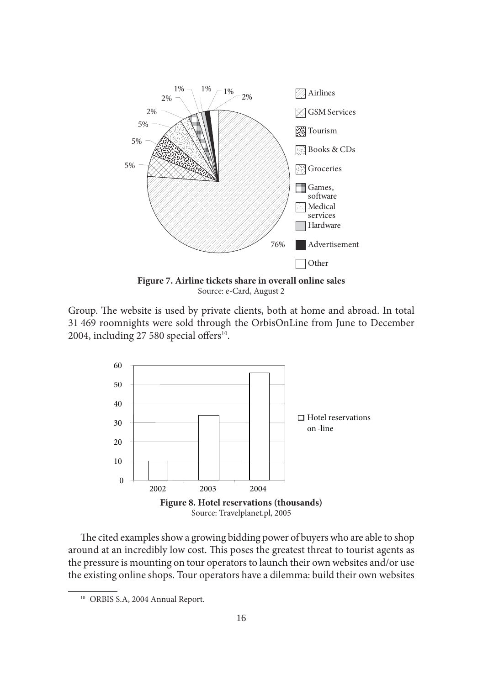

**Figure 7. Airline tickets share in overall online sales** Source: e-Card, August 2

Group. The website is used by private clients, both at home and abroad. In total 31 469 roomnights were sold through the OrbisOnLine from June to December 2004, including 27 580 special offers $^{10}$ .



The cited examples show a growing bidding power of buyers who are able to shop around at an incredibly low cost. This poses the greatest threat to tourist agents as the pressure is mounting on tour operators to launch their own websites and/or use the existing online shops. Tour operators have a dilemma: build their own websites

<sup>10</sup> ORBIS S.A, 2004 Annual Report.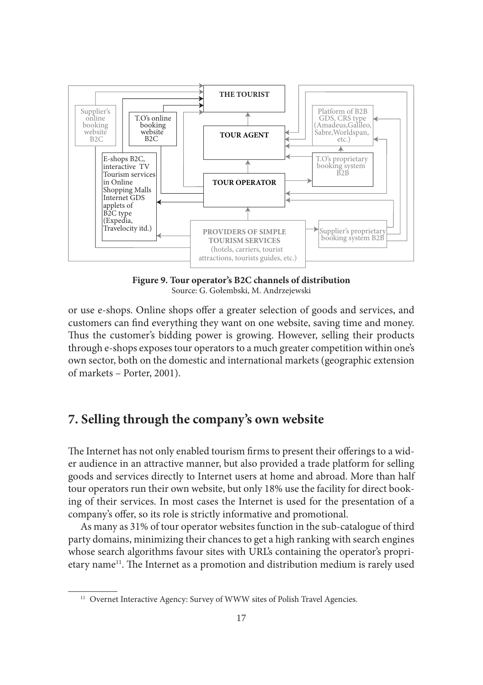

**Figure 9. Tour operator's B2C channels of distribution** Source: G. Gołembski, M. Andrzejewski

or use e-shops. Online shops offer a greater selection of goods and services, and customers can find everything they want on one website, saving time and money. Thus the customer's bidding power is growing. However, selling their products through e-shops exposes tour operators to a much greater competition within one's own sector, both on the domestic and international markets (geographic extension of markets – Porter, 2001).

### **7. Selling through the company's own website**

The Internet has not only enabled tourism firms to present their offerings to a wider audience in an attractive manner, but also provided a trade platform for selling goods and services directly to Internet users at home and abroad. More than half tour operators run their own website, but only 18% use the facility for direct booking of their services. In most cases the Internet is used for the presentation of a company's offer, so its role is strictly informative and promotional.

As many as 31% of tour operator websites function in the sub-catalogue of third party domains, minimizing their chances to get a high ranking with search engines whose search algorithms favour sites with URL's containing the operator's proprietary name<sup>11</sup>. The Internet as a promotion and distribution medium is rarely used

<sup>&</sup>lt;sup>11</sup> Overnet Interactive Agency: Survey of WWW sites of Polish Travel Agencies.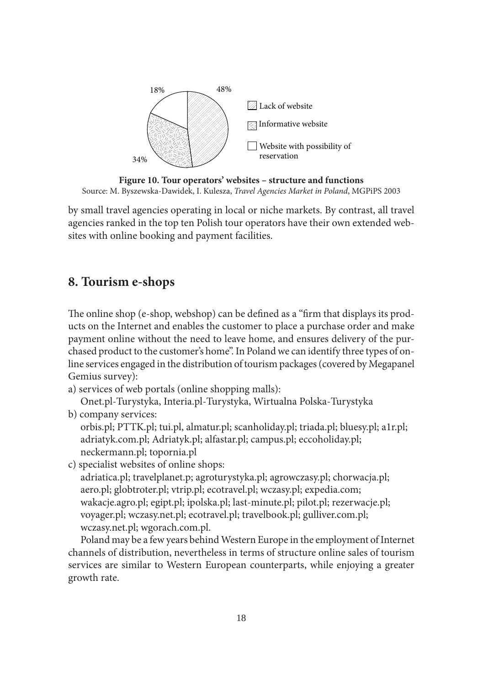

**Figure 10. Tour operators' websites – structure and functions** Source: M. Byszewska-Dawidek, I. Kulesza, *Travel Agencies Market in Poland*, MGPiPS 2003

by small travel agencies operating in local or niche markets. By contrast, all travel agencies ranked in the top ten Polish tour operators have their own extended websites with online booking and payment facilities.

# **8. Tourism e-shops**

The online shop (e-shop, webshop) can be defined as a "firm that displays its products on the Internet and enables the customer to place a purchase order and make payment online without the need to leave home, and ensures delivery of the purchased product to the customer's home". In Poland we can identify three types of online services engaged in the distribution of tourism packages (covered by Megapanel Gemius survey):

a) services of web portals (online shopping malls):

Onet.pl-Turystyka, Interia.pl-Turystyka, Wirtualna Polska-Turystyka b) company services:

orbis.pl; PTTK.pl; tui.pl, almatur.pl; scanholiday.pl; triada.pl; bluesy.pl; a1r.pl; adriatyk.com.pl; Adriatyk.pl; alfastar.pl; campus.pl; eccoholiday.pl; neckermann.pl; topornia.pl

c) specialist websites of online shops:

adriatica.pl; travelplanet.p; agroturystyka.pl; agrowczasy.pl; chorwacja.pl; aero.pl; globtroter.pl; vtrip.pl; ecotravel.pl; wczasy.pl; expedia.com; wakacje.agro.pl; egipt.pl; ipolska.pl; last-minute.pl; pilot.pl; rezerwacje.pl; voyager.pl; wczasy.net.pl; ecotravel.pl; travelbook.pl; gulliver.com.pl; wczasy.net.pl; wgorach.com.pl.

Poland may be a few years behind Western Europe in the employment of Internet channels of distribution, nevertheless in terms of structure online sales of tourism services are similar to Western European counterparts, while enjoying a greater growth rate.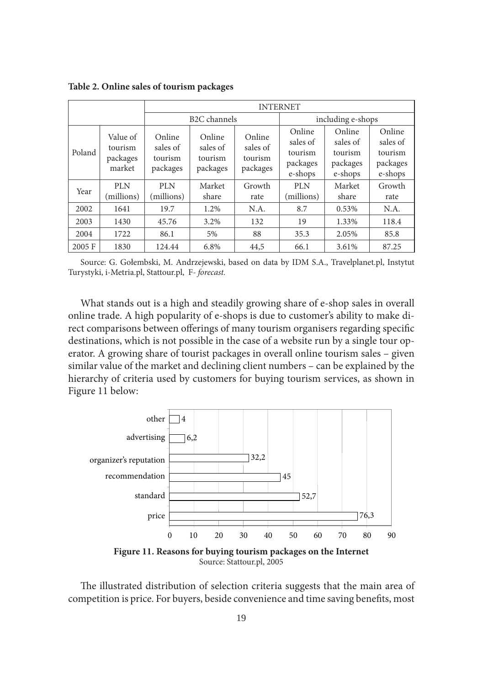INTERNET B2C channels including e-shops Poland Value of tourism packages market Online sales of tourism packages Online sales of tourism packages Online sales of tourism packages Online sales of tourism packages e-shops Online sales of tourism packages e-shops Online sales of tourism packages e-shops Year  $\begin{array}{c}$  PLN (millions) PLN (millions) Market share Growth rate PLN (millions) Market share Growth rate 2002 | 1641 | 19.7 | 1.2% | N.A. | 8.7 | 0.53% | N.A. 2003 1430 45.76 3.2% 132 19 1.33% 118.4 2004 | 1722 | 86.1 | 5% | 88 | 35.3 | 2.05% | 85.8 2005 F 1830 124.44 6.8% 44,5 66.1 3.61% 87.25

**Table 2. Online sales of tourism packages** 

Source: G. Gołembski, M. Andrzejewski, based on data by IDM S.A., Travelplanet.pl, Instytut Turystyki, i-Metria.pl, Stattour.pl, F*- forecast.*

What stands out is a high and steadily growing share of e-shop sales in overall online trade. A high popularity of e-shops is due to customer's ability to make direct comparisons between offerings of many tourism organisers regarding specific destinations, which is not possible in the case of a website run by a single tour operator. A growing share of tourist packages in overall online tourism sales – given similar value of the market and declining client numbers – can be explained by the hierarchy of criteria used by customers for buying tourism services, as shown in Figure 11 below:



**Figure 11. Reasons for buying tourism packages on the Internet** Source: Stattour.pl, 2005

The illustrated distribution of selection criteria suggests that the main area of competition is price. For buyers, beside convenience and time saving benefits, most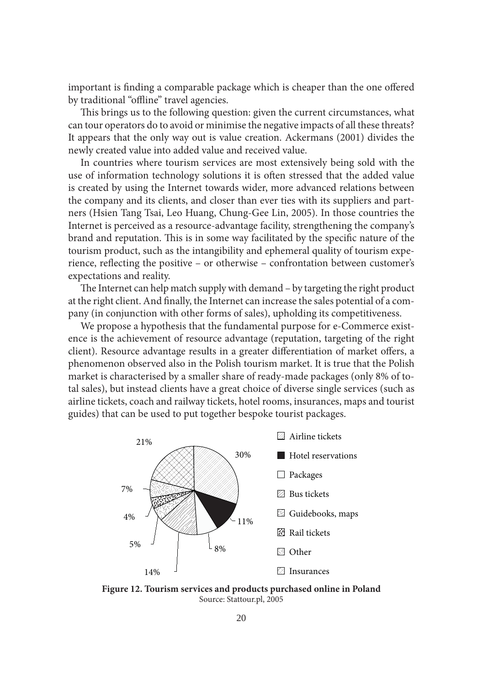important is finding a comparable package which is cheaper than the one offered by traditional "offline" travel agencies.

This brings us to the following question: given the current circumstances, what can tour operators do to avoid or minimise the negative impacts of all these threats? It appears that the only way out is value creation. Ackermans (2001) divides the newly created value into added value and received value.

In countries where tourism services are most extensively being sold with the use of information technology solutions it is often stressed that the added value is created by using the Internet towards wider, more advanced relations between the company and its clients, and closer than ever ties with its suppliers and partners (Hsien Tang Tsai, Leo Huang, Chung-Gee Lin, 2005). In those countries the Internet is perceived as a resource-advantage facility, strengthening the company's brand and reputation. This is in some way facilitated by the specific nature of the tourism product, such as the intangibility and ephemeral quality of tourism experience, reflecting the positive – or otherwise – confrontation between customer's expectations and reality.

The Internet can help match supply with demand – by targeting the right product at the right client. And finally, the Internet can increase the sales potential of a company (in conjunction with other forms of sales), upholding its competitiveness.

We propose a hypothesis that the fundamental purpose for e-Commerce existence is the achievement of resource advantage (reputation, targeting of the right client). Resource advantage results in a greater differentiation of market offers, a phenomenon observed also in the Polish tourism market. It is true that the Polish market is characterised by a smaller share of ready-made packages (only 8% of total sales), but instead clients have a great choice of diverse single services (such as airline tickets, coach and railway tickets, hotel rooms, insurances, maps and tourist guides) that can be used to put together bespoke tourist packages.



**Figure 12. Tourism services and products purchased online in Poland** Source: Stattour.pl, 2005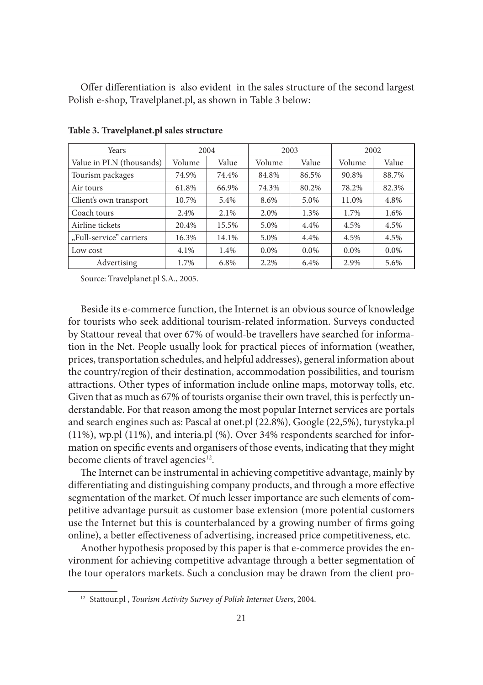Offer differentiation is also evident in the sales structure of the second largest Polish e-shop, Travelplanet.pl, as shown in Table 3 below:

| Years                    | 2004   |       | 2003    |         | 2002    |         |
|--------------------------|--------|-------|---------|---------|---------|---------|
| Value in PLN (thousands) | Volume | Value | Volume  | Value   | Volume  | Value   |
| Tourism packages         | 74.9%  | 74.4% | 84.8%   | 86.5%   | 90.8%   | 88.7%   |
| Air tours                | 61.8%  | 66.9% | 74.3%   | 80.2%   | 78.2%   | 82.3%   |
| Client's own transport   | 10.7%  | 5.4%  | 8.6%    | 5.0%    | 11.0%   | 4.8%    |
| Coach tours              | 2.4%   | 2.1%  | 2.0%    | 1.3%    | 1.7%    | 1.6%    |
| Airline tickets          | 20.4%  | 15.5% | 5.0%    | 4.4%    | 4.5%    | 4.5%    |
| "Full-service" carriers  | 16.3%  | 14.1% | 5.0%    | 4.4%    | 4.5%    | 4.5%    |
| Low cost                 | 4.1%   | 1.4%  | $0.0\%$ | $0.0\%$ | $0.0\%$ | $0.0\%$ |
| Advertising              | 1.7%   | 6.8%  | 2.2%    | 6.4%    | 2.9%    | 5.6%    |

**Table 3. Travelplanet.pl sales structure**

Source: Travelplanet.pl S.A., 2005.

Beside its e-commerce function, the Internet is an obvious source of knowledge for tourists who seek additional tourism-related information. Surveys conducted by Stattour reveal that over 67% of would-be travellers have searched for information in the Net. People usually look for practical pieces of information (weather, prices, transportation schedules, and helpful addresses), general information about the country/region of their destination, accommodation possibilities, and tourism attractions. Other types of information include online maps, motorway tolls, etc. Given that as much as 67% of tourists organise their own travel, this is perfectly understandable. For that reason among the most popular Internet services are portals and search engines such as: Pascal at onet.pl (22.8%), Google (22,5%), turystyka.pl (11%), wp.pl (11%), and interia.pl (%). Over 34% respondents searched for information on specific events and organisers of those events, indicating that they might become clients of travel agencies<sup>12</sup>.

The Internet can be instrumental in achieving competitive advantage, mainly by differentiating and distinguishing company products, and through a more effective segmentation of the market. Of much lesser importance are such elements of competitive advantage pursuit as customer base extension (more potential customers use the Internet but this is counterbalanced by a growing number of firms going online), a better effectiveness of advertising, increased price competitiveness, etc.

Another hypothesis proposed by this paper is that e-commerce provides the environment for achieving competitive advantage through a better segmentation of the tour operators markets. Such a conclusion may be drawn from the client pro-

<sup>12</sup> Stattour.pl , *Tourism Activity Survey of Polish Internet Users*, 2004.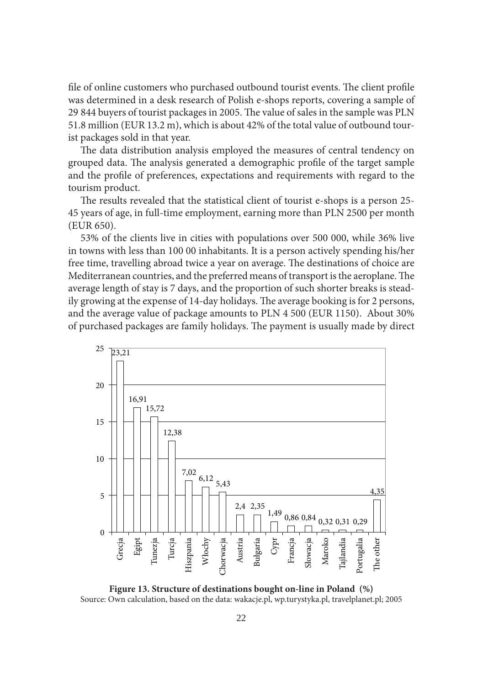file of online customers who purchased outbound tourist events. The client profile was determined in a desk research of Polish e-shops reports, covering a sample of 29 844 buyers of tourist packages in 2005. The value of sales in the sample was PLN 51.8 million (EUR 13.2 m), which is about 42% of the total value of outbound tourist packages sold in that year.

The data distribution analysis employed the measures of central tendency on grouped data. The analysis generated a demographic profile of the target sample and the profile of preferences, expectations and requirements with regard to the tourism product.

The results revealed that the statistical client of tourist e-shops is a person 25-45 years of age, in full-time employment, earning more than PLN 2500 per month (EUR 650).

53% of the clients live in cities with populations over 500 000, while 36% live in towns with less than 100 00 inhabitants. It is a person actively spending his/her free time, travelling abroad twice a year on average. The destinations of choice are Mediterranean countries, and the preferred means of transport is the aeroplane. The average length of stay is 7 days, and the proportion of such shorter breaks is steadily growing at the expense of 14-day holidays. The average booking is for 2 persons, and the average value of package amounts to PLN 4 500 (EUR 1150). About 30% of purchased packages are family holidays. The payment is usually made by direct



**Figure 13. Structure of destinations bought on-line in Poland (%)** Source: Own calculation, based on the data: wakacje.pl, wp.turystyka.pl, travelplanet.pl; 2005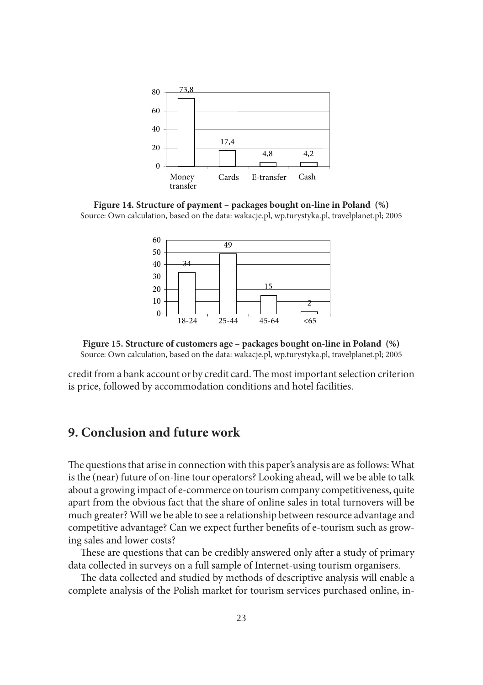

**Figure 14. Structure of payment – packages bought on-line in Poland (%)** Source: Own calculation, based on the data: wakacje.pl, wp.turystyka.pl, travelplanet.pl; 2005



**Figure 15. Structure of customers age – packages bought on-line in Poland (%)** Source: Own calculation, based on the data: wakacje.pl, wp.turystyka.pl, travelplanet.pl; 2005

credit from a bank account or by credit card. The most important selection criterion is price, followed by accommodation conditions and hotel facilities.

# **9. Conclusion and future work**

The questions that arise in connection with this paper's analysis are as follows: What is the (near) future of on-line tour operators? Looking ahead, will we be able to talk about a growing impact of e-commerce on tourism company competitiveness, quite apart from the obvious fact that the share of online sales in total turnovers will be much greater? Will we be able to see a relationship between resource advantage and competitive advantage? Can we expect further benefits of e-tourism such as growing sales and lower costs?

These are questions that can be credibly answered only after a study of primary data collected in surveys on a full sample of Internet-using tourism organisers.

The data collected and studied by methods of descriptive analysis will enable a complete analysis of the Polish market for tourism services purchased online, in